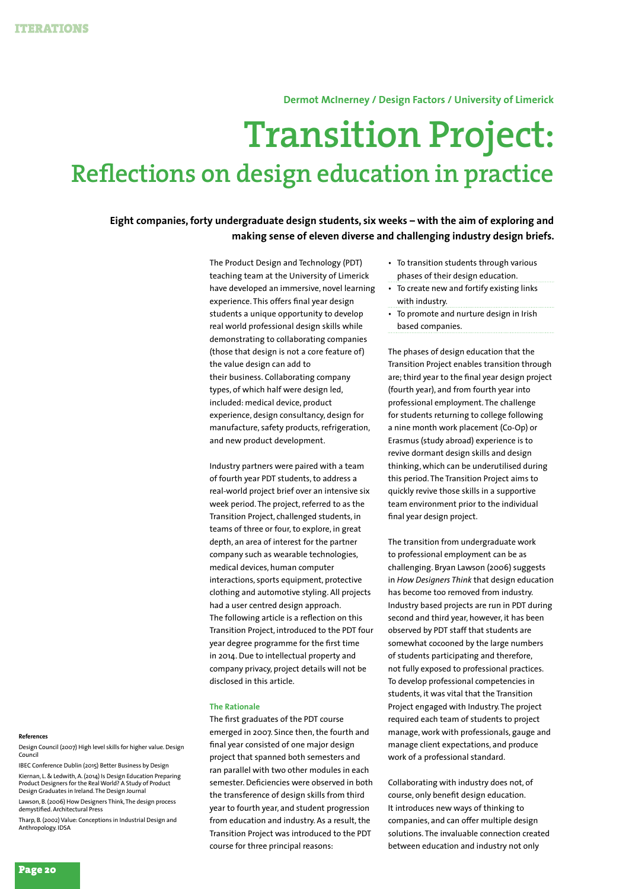**Dermot McInerney / Design Factors / University of Limerick**

# **Transition Project: Reflections on design education in practice**

**Eight companies, forty undergraduate design students, six weeks – with the aim of exploring and making sense of eleven diverse and challenging industry design briefs.**

> The Product Design and Technology (PDT) teaching team at the University of Limerick have developed an immersive, novel learning experience. This offers final year design students a unique opportunity to develop real world professional design skills while demonstrating to collaborating companies (those that design is not a core feature of) the value design can add to their business. Collaborating company types, of which half were design led, included: medical device, product experience, design consultancy, design for manufacture, safety products, refrigeration, and new product development.

Industry partners were paired with a team of fourth year PDT students, to address a real-world project brief over an intensive six week period. The project, referred to as the Transition Project, challenged students, in teams of three or four, to explore, in great depth, an area of interest for the partner company such as wearable technologies, medical devices, human computer interactions, sports equipment, protective clothing and automotive styling. All projects had a user centred design approach. The following article is a reflection on this Transition Project, introduced to the PDT four year degree programme for the first time in 2014. Due to intellectual property and company privacy, project details will not be disclosed in this article.

#### **The Rationale**

The first graduates of the PDT course emerged in 2007. Since then, the fourth and final year consisted of one major design project that spanned both semesters and ran parallel with two other modules in each semester. Deficiencies were observed in both the transference of design skills from third year to fourth year, and student progression from education and industry. As a result, the Transition Project was introduced to the PDT course for three principal reasons:

- • To transition students through various phases of their design education.
- • To create new and fortify existing links with industry.
- To promote and nurture design in Irish based companies.

The phases of design education that the Transition Project enables transition through are; third year to the final year design project (fourth year), and from fourth year into professional employment. The challenge for students returning to college following a nine month work placement (Co-Op) or Erasmus (study abroad) experience is to revive dormant design skills and design thinking, which can be underutilised during this period. The Transition Project aims to quickly revive those skills in a supportive team environment prior to the individual final year design project.

The transition from undergraduate work to professional employment can be as challenging. Bryan Lawson (2006) suggests in *How Designers Think* that design education has become too removed from industry. Industry based projects are run in PDT during second and third year, however, it has been observed by PDT staff that students are somewhat cocooned by the large numbers of students participating and therefore, not fully exposed to professional practices. To develop professional competencies in students, it was vital that the Transition Project engaged with Industry. The project required each team of students to project manage, work with professionals, gauge and manage client expectations, and produce work of a professional standard.

Collaborating with industry does not, of course, only benefit design education. It introduces new ways of thinking to companies, and can offer multiple design solutions. The invaluable connection created between education and industry not only

#### **References**

Design Council (2007) High level skills for higher value. Design Council

IBEC Conference Dublin (2015) Better Business by Design Kiernan, L. & Ledwith, A. (2014) Is Design Education Preparing Product Designers for the Real World? A Study of Product Design Graduates in Ireland. The Design Journal

Lawson, B. (2006) How Designers Think, The design process demystified. Architectural Press

Tharp, B. (2002) Value: Conceptions in Industrial Design and Anthropology. IDSA